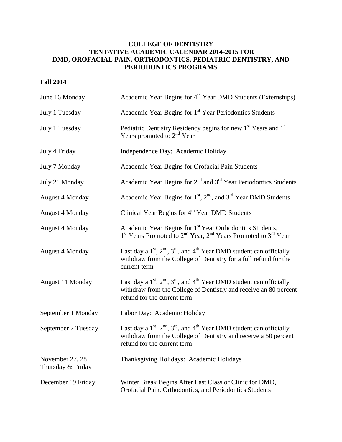## **COLLEGE OF DENTISTRY TENTATIVE ACADEMIC CALENDAR 2014-2015 FOR DMD, OROFACIAL PAIN, ORTHODONTICS, PEDIATRIC DENTISTRY, AND PERIODONTICS PROGRAMS**

## **Fall 2014**

| June 16 Monday                       | Academic Year Begins for 4 <sup>th</sup> Year DMD Students (Externships)                                                                                                        |
|--------------------------------------|---------------------------------------------------------------------------------------------------------------------------------------------------------------------------------|
| July 1 Tuesday                       | Academic Year Begins for 1 <sup>st</sup> Year Periodontics Students                                                                                                             |
| July 1 Tuesday                       | Pediatric Dentistry Residency begins for new 1 <sup>st</sup> Years and 1 <sup>st</sup><br>Years promoted to 2 <sup>nd</sup> Year                                                |
| July 4 Friday                        | Independence Day: Academic Holiday                                                                                                                                              |
| July 7 Monday                        | Academic Year Begins for Orofacial Pain Students                                                                                                                                |
| July 21 Monday                       | Academic Year Begins for $2nd$ and $3rd$ Year Periodontics Students                                                                                                             |
| <b>August 4 Monday</b>               | Academic Year Begins for $1st$ , $2nd$ , and $3rd$ Year DMD Students                                                                                                            |
| <b>August 4 Monday</b>               | Clinical Year Begins for 4 <sup>th</sup> Year DMD Students                                                                                                                      |
| <b>August 4 Monday</b>               | Academic Year Begins for 1st Year Orthodontics Students,<br>1 <sup>st</sup> Years Promoted to 2 <sup>nd</sup> Year, 2 <sup>nd</sup> Years Promoted to 3 <sup>rd</sup> Year      |
| <b>August 4 Monday</b>               | Last day a $1st$ , $2nd$ , $3rd$ , and $4th$ Year DMD student can officially<br>withdraw from the College of Dentistry for a full refund for the<br>current term                |
| August 11 Monday                     | Last day a $1st$ , $2nd$ , $3rd$ , and $4th$ Year DMD student can officially<br>withdraw from the College of Dentistry and receive an 80 percent<br>refund for the current term |
| September 1 Monday                   | Labor Day: Academic Holiday                                                                                                                                                     |
| September 2 Tuesday                  | Last day a $1st$ , $2nd$ , $3rd$ , and $4th$ Year DMD student can officially<br>withdraw from the College of Dentistry and receive a 50 percent<br>refund for the current term  |
| November 27, 28<br>Thursday & Friday | Thanksgiving Holidays: Academic Holidays                                                                                                                                        |
| December 19 Friday                   | Winter Break Begins After Last Class or Clinic for DMD,<br>Orofacial Pain, Orthodontics, and Periodontics Students                                                              |